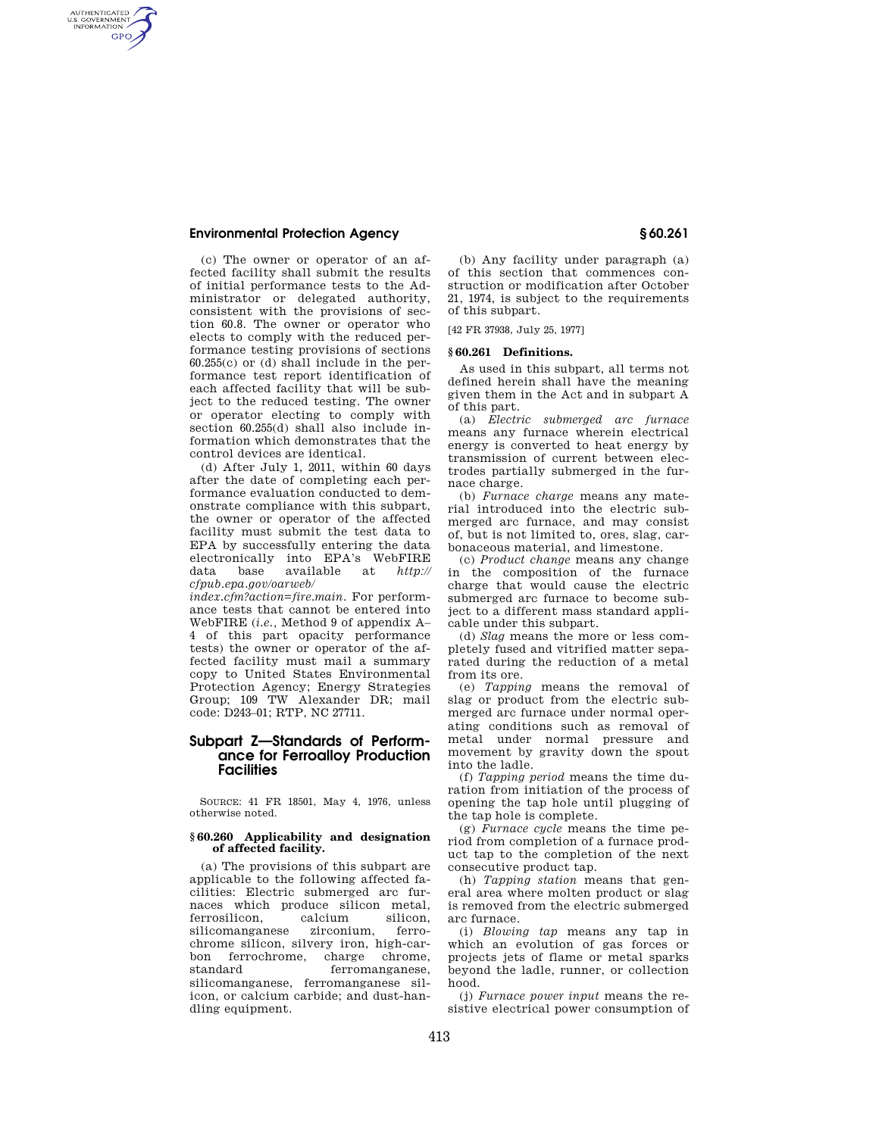## **Environmental Protection Agency § 60.261**

AUTHENTICATED<br>U.S. GOVERNMENT<br>INFORMATION **GPO** 

> (c) The owner or operator of an affected facility shall submit the results of initial performance tests to the Administrator or delegated authority, consistent with the provisions of section 60.8. The owner or operator who elects to comply with the reduced performance testing provisions of sections 60.255(c) or (d) shall include in the performance test report identification of each affected facility that will be subject to the reduced testing. The owner or operator electing to comply with section 60.255(d) shall also include information which demonstrates that the control devices are identical.

> (d) After July 1, 2011, within 60 days after the date of completing each performance evaluation conducted to demonstrate compliance with this subpart, the owner or operator of the affected facility must submit the test data to EPA by successfully entering the data electronically into EPA's WebFIRE data base available at *http:// cfpub.epa.gov/oarweb/*

> *index.cfm?action=fire.main.* For performance tests that cannot be entered into WebFIRE (*i.e.,* Method 9 of appendix A– 4 of this part opacity performance tests) the owner or operator of the affected facility must mail a summary copy to United States Environmental Protection Agency; Energy Strategies Group; 109 TW Alexander DR; mail code: D243–01; RTP, NC 27711.

# **Subpart Z—Standards of Performance for Ferroalloy Production Facilities**

SOURCE: 41 FR 18501, May 4, 1976, unless otherwise noted.

#### **§ 60.260 Applicability and designation of affected facility.**

(a) The provisions of this subpart are applicable to the following affected facilities: Electric submerged arc furnaces which produce silicon metal,<br>ferrosilicon, calcium silicon, ferrosilicon, calcium silicon,<br>silicomanganese zirconium, ferrosilicomanganese zirconium, ferrochrome silicon, silvery iron, high-carbon ferrochrome, charge chrome,<br>standard ferromanganese ferromanganese, silicomanganese, ferromanganese silicon, or calcium carbide; and dust-handling equipment.

(b) Any facility under paragraph (a) of this section that commences construction or modification after October 21, 1974, is subject to the requirements of this subpart.

[42 FR 37938, July 25, 1977]

## **§ 60.261 Definitions.**

As used in this subpart, all terms not defined herein shall have the meaning given them in the Act and in subpart A of this part.

(a) *Electric submerged arc furnace*  means any furnace wherein electrical energy is converted to heat energy by transmission of current between electrodes partially submerged in the furnace charge.

(b) *Furnace charge* means any material introduced into the electric submerged arc furnace, and may consist of, but is not limited to, ores, slag, carbonaceous material, and limestone.

(c) *Product change* means any change in the composition of the furnace charge that would cause the electric submerged arc furnace to become subject to a different mass standard applicable under this subpart.

(d) *Slag* means the more or less completely fused and vitrified matter separated during the reduction of a metal from its ore.

(e) *Tapping* means the removal of slag or product from the electric submerged arc furnace under normal operating conditions such as removal of metal under normal pressure and movement by gravity down the spout into the ladle.

(f) *Tapping period* means the time duration from initiation of the process of opening the tap hole until plugging of the tap hole is complete.

(g) *Furnace cycle* means the time period from completion of a furnace product tap to the completion of the next consecutive product tap.

(h) *Tapping station* means that general area where molten product or slag is removed from the electric submerged arc furnace.

(i) *Blowing tap* means any tap in which an evolution of gas forces or projects jets of flame or metal sparks beyond the ladle, runner, or collection hood.

(j) *Furnace power input* means the resistive electrical power consumption of